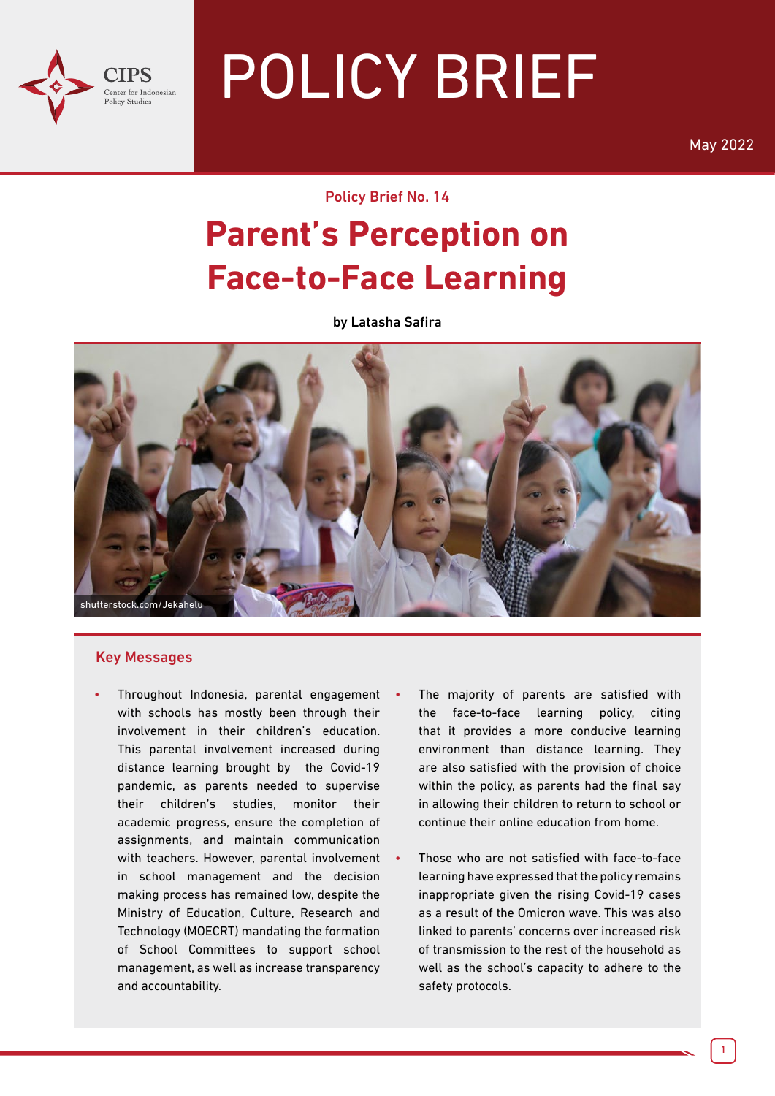

# POLICY BRIEF

May 2022

Policy Brief No. 14

# **Parent's Perception on Face-to-Face Learning**

by Latasha Safira



#### Key Messages

- Throughout Indonesia, parental engagement with schools has mostly been through their involvement in their children's education. This parental involvement increased during distance learning brought by the Covid-19 pandemic, as parents needed to supervise their children's studies, monitor their academic progress, ensure the completion of assignments, and maintain communication with teachers. However, parental involvement in school management and the decision making process has remained low, despite the Ministry of Education, Culture, Research and Technology (MOECRT) mandating the formation of School Committees to support school management, as well as increase transparency and accountability.
	- The majority of parents are satisfied with the face-to-face learning policy, citing that it provides a more conducive learning environment than distance learning. They are also satisfied with the provision of choice within the policy, as parents had the final say in allowing their children to return to school or continue their online education from home.
	- Those who are not satisfied with face-to-face learning have expressed that the policy remains inappropriate given the rising Covid-19 cases as a result of the Omicron wave. This was also linked to parents' concerns over increased risk of transmission to the rest of the household as well as the school's capacity to adhere to the safety protocols.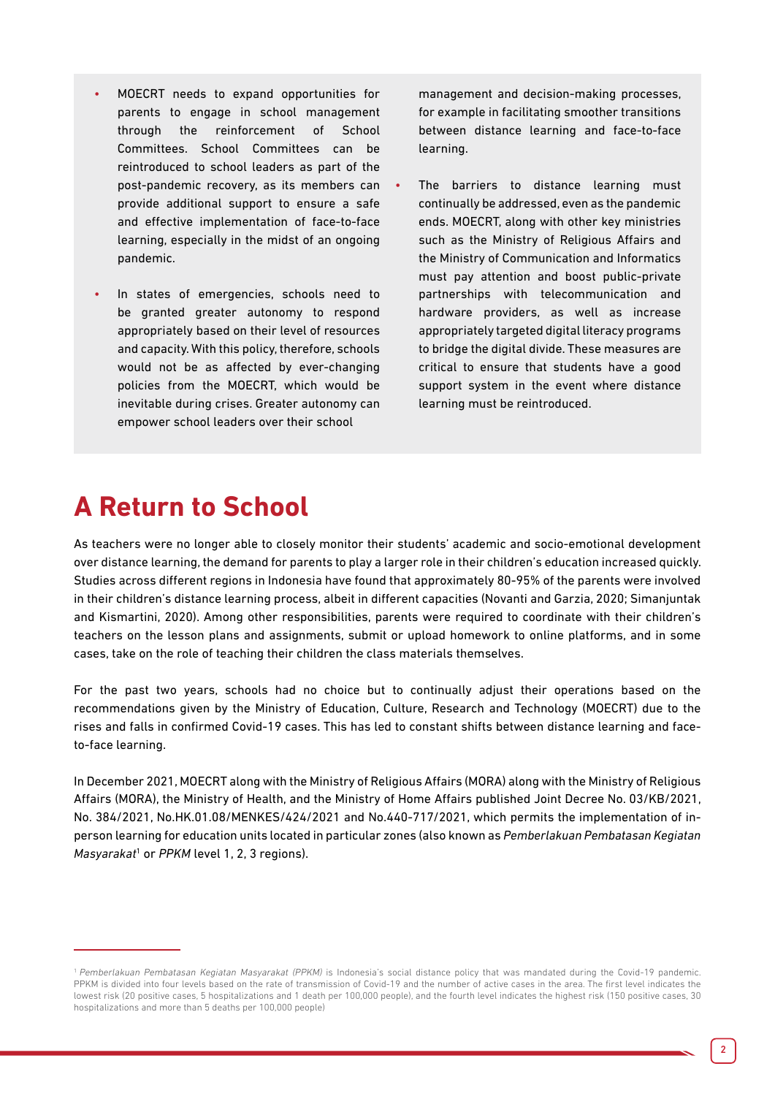- MOECRT needs to expand opportunities for parents to engage in school management through the reinforcement of School Committees. School Committees can be reintroduced to school leaders as part of the post-pandemic recovery, as its members can provide additional support to ensure a safe and effective implementation of face-to-face learning, especially in the midst of an ongoing pandemic.
- In states of emergencies, schools need to be granted greater autonomy to respond appropriately based on their level of resources and capacity. With this policy, therefore, schools would not be as affected by ever-changing policies from the MOECRT, which would be inevitable during crises. Greater autonomy can empower school leaders over their school

management and decision-making processes, for example in facilitating smoother transitions between distance learning and face-to-face learning.

• The barriers to distance learning must continually be addressed, even as the pandemic ends. MOECRT, along with other key ministries such as the Ministry of Religious Affairs and the Ministry of Communication and Informatics must pay attention and boost public-private partnerships with telecommunication and hardware providers, as well as increase appropriately targeted digital literacy programs to bridge the digital divide. These measures are critical to ensure that students have a good support system in the event where distance learning must be reintroduced.

# **A Return to School**

As teachers were no longer able to closely monitor their students' academic and socio-emotional development over distance learning, the demand for parents to play a larger role in their children's education increased quickly. Studies across different regions in Indonesia have found that approximately 80-95% of the parents were involved in their children's distance learning process, albeit in different capacities (Novanti and Garzia, 2020; Simanjuntak and Kismartini, 2020). Among other responsibilities, parents were required to coordinate with their children's teachers on the lesson plans and assignments, submit or upload homework to online platforms, and in some cases, take on the role of teaching their children the class materials themselves.

For the past two years, schools had no choice but to continually adjust their operations based on the recommendations given by the Ministry of Education, Culture, Research and Technology (MOECRT) due to the rises and falls in confirmed Covid-19 cases. This has led to constant shifts between distance learning and faceto-face learning.

In December 2021, MOECRT along with the Ministry of Religious Affairs (MORA) along with the Ministry of Religious Affairs (MORA), the Ministry of Health, and the Ministry of Home Affairs published Joint Decree No. 03/KB/2021, No. 384/2021, No.HK.01.08/MENKES/424/2021 and No.440-717/2021, which permits the implementation of inperson learning for education units located in particular zones (also known as *Pemberlakuan Pembatasan Kegiatan Masyarakat*<sup>1</sup> or *PPKM* level 1, 2, 3 regions).

<sup>&</sup>lt;sup>1</sup> Pemberlakuan Pembatasan Kegiatan Masyarakat (PPKM) is Indonesia's social distance policy that was mandated during the Covid-19 pandemic. PPKM is divided into four levels based on the rate of transmission of Covid-19 and the number of active cases in the area. The first level indicates the lowest risk (20 positive cases, 5 hospitalizations and 1 death per 100,000 people), and the fourth level indicates the highest risk (150 positive cases, 30 hospitalizations and more than 5 deaths per 100,000 people)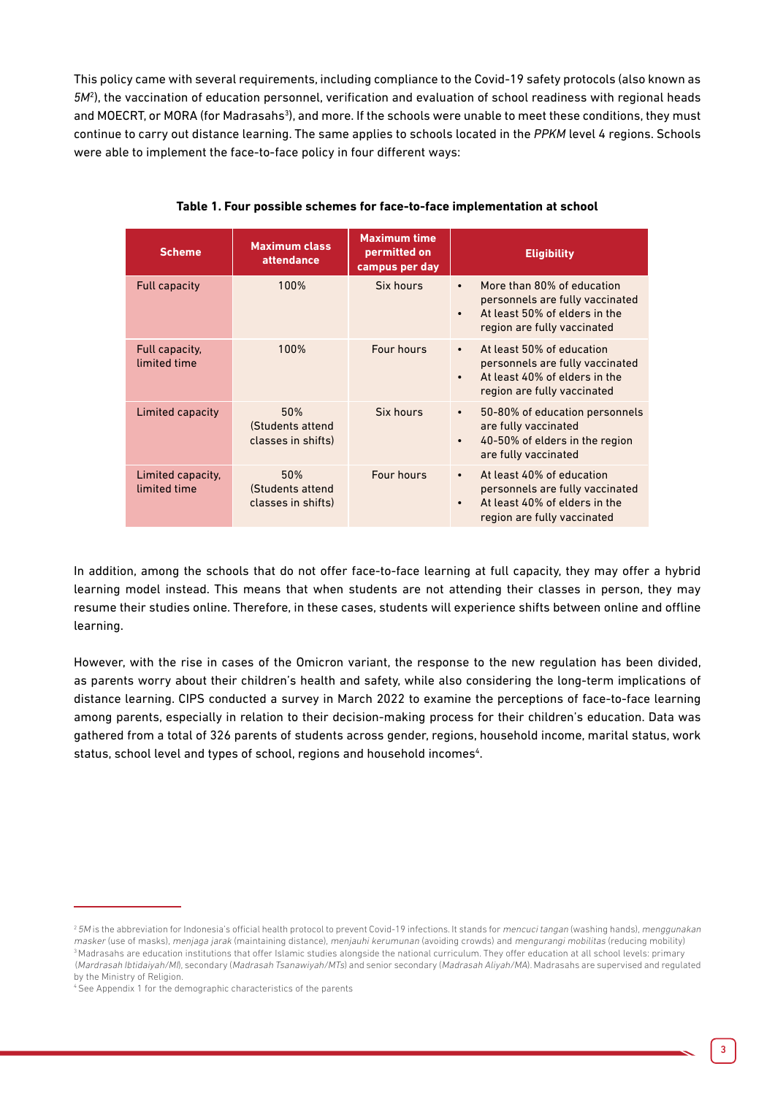This policy came with several requirements, including compliance to the Covid-19 safety protocols (also known as *5M*<sup>2</sup> ), the vaccination of education personnel, verification and evaluation of school readiness with regional heads and MOECRT, or MORA (for Madrasahs<sup>3</sup>), and more. If the schools were unable to meet these conditions, they must continue to carry out distance learning. The same applies to schools located in the *PPKM* level 4 regions. Schools were able to implement the face-to-face policy in four different ways:

| <b>Scheme</b>                     | <b>Maximum class</b><br>attendance            | <b>Maximum time</b><br>permitted on<br>campus per day | <b>Eligibility</b>                                                                                                                                      |
|-----------------------------------|-----------------------------------------------|-------------------------------------------------------|---------------------------------------------------------------------------------------------------------------------------------------------------------|
| <b>Full capacity</b>              | 100%                                          | Six hours                                             | More than 80% of education<br>$\bullet$<br>personnels are fully vaccinated<br>At least 50% of elders in the<br>$\bullet$<br>region are fully vaccinated |
| Full capacity,<br>limited time    | 100%                                          | Four hours                                            | At least 50% of education<br>$\bullet$<br>personnels are fully vaccinated<br>At least 40% of elders in the<br>$\bullet$<br>region are fully vaccinated  |
| Limited capacity                  | 50%<br>(Students attend<br>classes in shifts) | Six hours                                             | 50-80% of education personnels<br>$\bullet$<br>are fully vaccinated<br>40-50% of elders in the region<br>$\bullet$<br>are fully vaccinated              |
| Limited capacity,<br>limited time | 50%<br>(Students attend<br>classes in shifts) | Four hours                                            | At least 40% of education<br>$\bullet$<br>personnels are fully vaccinated<br>At least 40% of elders in the<br>$\bullet$<br>region are fully vaccinated  |

**Table 1. Four possible schemes for face-to-face implementation at school**

In addition, among the schools that do not offer face-to-face learning at full capacity, they may offer a hybrid learning model instead. This means that when students are not attending their classes in person, they may resume their studies online. Therefore, in these cases, students will experience shifts between online and offline learning.

However, with the rise in cases of the Omicron variant, the response to the new regulation has been divided, as parents worry about their children's health and safety, while also considering the long-term implications of distance learning. CIPS conducted a survey in March 2022 to examine the perceptions of face-to-face learning among parents, especially in relation to their decision-making process for their children's education. Data was gathered from a total of 326 parents of students across gender, regions, household income, marital status, work status, school level and types of school, regions and household incomes<sup>4</sup>.

<sup>&</sup>lt;sup>2</sup> 5M is the abbreviation for Indonesia's official health protocol to prevent Covid-19 infections. It stands for mencuci tangan (washing hands), menggunakan masker (use of masks), menjaga jarak (maintaining distance), menjauhi kerumunan (avoiding crowds) and mengurangi mobilitas (reducing mobility)<br><sup>3</sup> Madrasahs are education institutions that offer Islamic studies alongside t (Mardrasah Ibtidaiyah/MI), secondary (Madrasah Tsanawiyah/MTs) and senior secondary (Madrasah Aliyah/MA). Madrasahs are supervised and regulated by the Ministry of Religion.

<sup>4</sup> See Appendix 1 for the demographic characteristics of the parents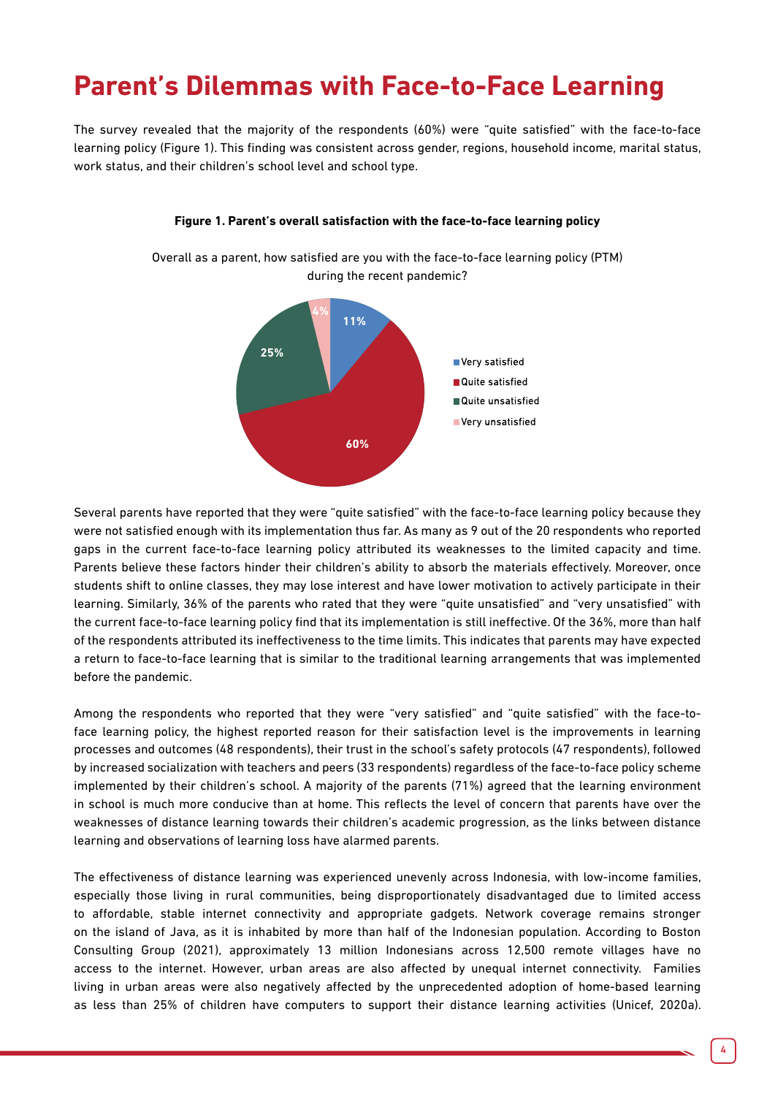# **Parent's Dilemmas with Face-to-Face Learning**

The survey revealed that the majority of the respondents (60%) were "quite satisfied" with the face-to-face learning policy (Figure 1). This finding was consistent across gender, regions, household income, marital status, work status, and their children's school level and school type.



#### **Figure 1. Parent's overall satisfaction with the face-to-face learning policy**

Overall as a parent, how satisfied are you with the face-to-face learning policy (PTM) during the recent pandemic?

Several parents have reported that they were "quite satisfied" with the face-to-face learning policy because they were not satisfied enough with its implementation thus far. As many as 9 out of the 20 respondents who reported gaps in the current face-to-face learning policy attributed its weaknesses to the limited capacity and time. Parents believe these factors hinder their children's ability to absorb the materials effectively. Moreover, once students shift to online classes, they may lose interest and have lower motivation to actively participate in their learning. Similarly, 36% of the parents who rated that they were "quite unsatisfied" and "very unsatisfied" with the current face-to-face learning policy find that its implementation is still ineffective. Of the 36%, more than half of the respondents attributed its ineffectiveness to the time limits. This indicates that parents may have expected a return to face-to-face learning that is similar to the traditional learning arrangements that was implemented before the pandemic.

Among the respondents who reported that they were "very satisfied" and "quite satisfied" with the face-toface learning policy, the highest reported reason for their satisfaction level is the improvements in learning processes and outcomes (48 respondents), their trust in the school's safety protocols (47 respondents), followed by increased socialization with teachers and peers (33 respondents) regardless of the face-to-face policy scheme implemented by their children's school. A majority of the parents (71%) agreed that the learning environment in school is much more conducive than at home. This reflects the level of concern that parents have over the weaknesses of distance learning towards their children's academic progression, as the links between distance learning and observations of learning loss have alarmed parents.

The effectiveness of distance learning was experienced unevenly across Indonesia, with low-income families, especially those living in rural communities, being disproportionately disadvantaged due to limited access to affordable, stable internet connectivity and appropriate gadgets. Network coverage remains stronger on the island of Java, as it is inhabited by more than half of the Indonesian population. According to Boston Consulting Group (2021), approximately 13 million Indonesians across 12,500 remote villages have no access to the internet. However, urban areas are also affected by unequal internet connectivity. Families living in urban areas were also negatively affected by the unprecedented adoption of home-based learning as less than 25% of children have computers to support their distance learning activities (Unicef, 2020a).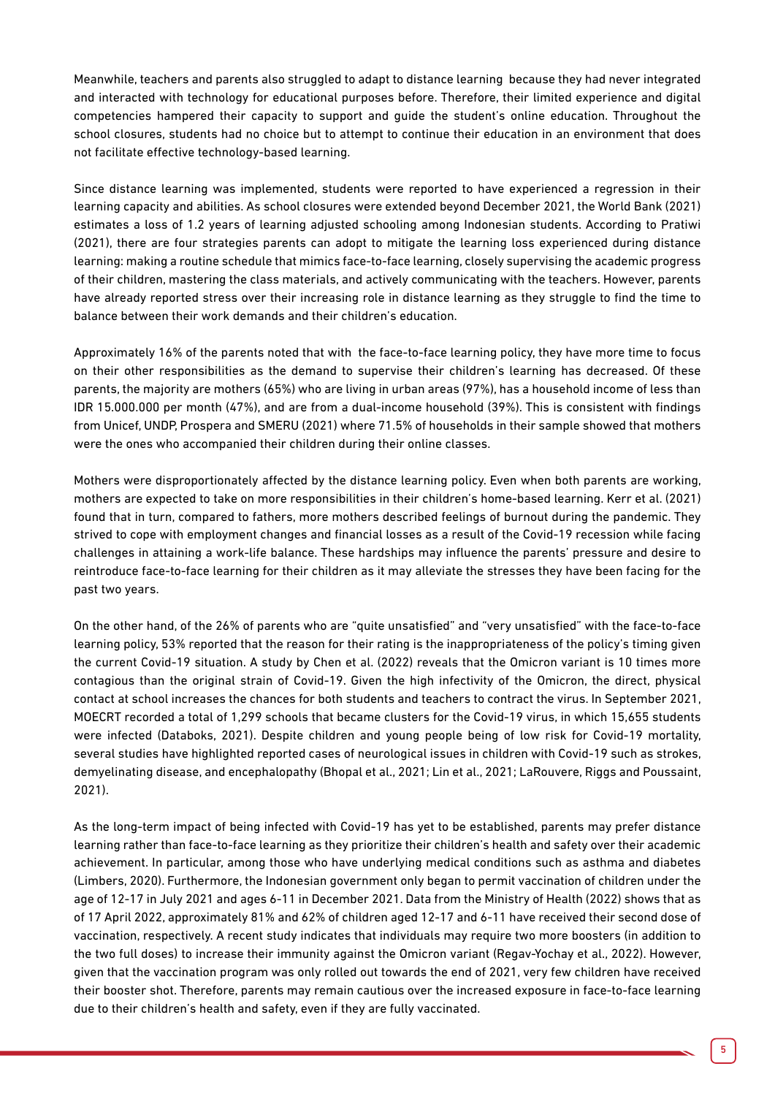Meanwhile, teachers and parents also struggled to adapt to distance learning because they had never integrated and interacted with technology for educational purposes before. Therefore, their limited experience and digital competencies hampered their capacity to support and guide the student's online education. Throughout the school closures, students had no choice but to attempt to continue their education in an environment that does not facilitate effective technology-based learning.

Since distance learning was implemented, students were reported to have experienced a regression in their learning capacity and abilities. As school closures were extended beyond December 2021, the World Bank (2021) estimates a loss of 1.2 years of learning adjusted schooling among Indonesian students. According to Pratiwi (2021), there are four strategies parents can adopt to mitigate the learning loss experienced during distance learning: making a routine schedule that mimics face-to-face learning, closely supervising the academic progress of their children, mastering the class materials, and actively communicating with the teachers. However, parents have already reported stress over their increasing role in distance learning as they struggle to find the time to balance between their work demands and their children's education.

Approximately 16% of the parents noted that with the face-to-face learning policy, they have more time to focus on their other responsibilities as the demand to supervise their children's learning has decreased. Of these parents, the majority are mothers (65%) who are living in urban areas (97%), has a household income of less than IDR 15.000.000 per month (47%), and are from a dual-income household (39%). This is consistent with findings from Unicef, UNDP, Prospera and SMERU (2021) where 71.5% of households in their sample showed that mothers were the ones who accompanied their children during their online classes.

Mothers were disproportionately affected by the distance learning policy. Even when both parents are working, mothers are expected to take on more responsibilities in their children's home-based learning. Kerr et al. (2021) found that in turn, compared to fathers, more mothers described feelings of burnout during the pandemic. They strived to cope with employment changes and financial losses as a result of the Covid-19 recession while facing challenges in attaining a work-life balance. These hardships may influence the parents' pressure and desire to reintroduce face-to-face learning for their children as it may alleviate the stresses they have been facing for the past two years.

On the other hand, of the 26% of parents who are "quite unsatisfied" and "very unsatisfied" with the face-to-face learning policy, 53% reported that the reason for their rating is the inappropriateness of the policy's timing given the current Covid-19 situation. A study by Chen et al. (2022) reveals that the Omicron variant is 10 times more contagious than the original strain of Covid-19. Given the high infectivity of the Omicron, the direct, physical contact at school increases the chances for both students and teachers to contract the virus. In September 2021, MOECRT recorded a total of 1,299 schools that became clusters for the Covid-19 virus, in which 15,655 students were infected (Databoks, 2021). Despite children and young people being of low risk for Covid-19 mortality, several studies have highlighted reported cases of neurological issues in children with Covid-19 such as strokes, demyelinating disease, and encephalopathy (Bhopal et al., 2021; Lin et al., 2021; LaRouvere, Riggs and Poussaint, 2021).

As the long-term impact of being infected with Covid-19 has yet to be established, parents may prefer distance learning rather than face-to-face learning as they prioritize their children's health and safety over their academic achievement. In particular, among those who have underlying medical conditions such as asthma and diabetes (Limbers, 2020). Furthermore, the Indonesian government only began to permit vaccination of children under the age of 12-17 in July 2021 and ages 6-11 in December 2021. Data from the Ministry of Health (2022) shows that as of 17 April 2022, approximately 81% and 62% of children aged 12-17 and 6-11 have received their second dose of vaccination, respectively. A recent study indicates that individuals may require two more boosters (in addition to the two full doses) to increase their immunity against the Omicron variant (Regav-Yochay et al., 2022). However, given that the vaccination program was only rolled out towards the end of 2021, very few children have received their booster shot. Therefore, parents may remain cautious over the increased exposure in face-to-face learning due to their children's health and safety, even if they are fully vaccinated.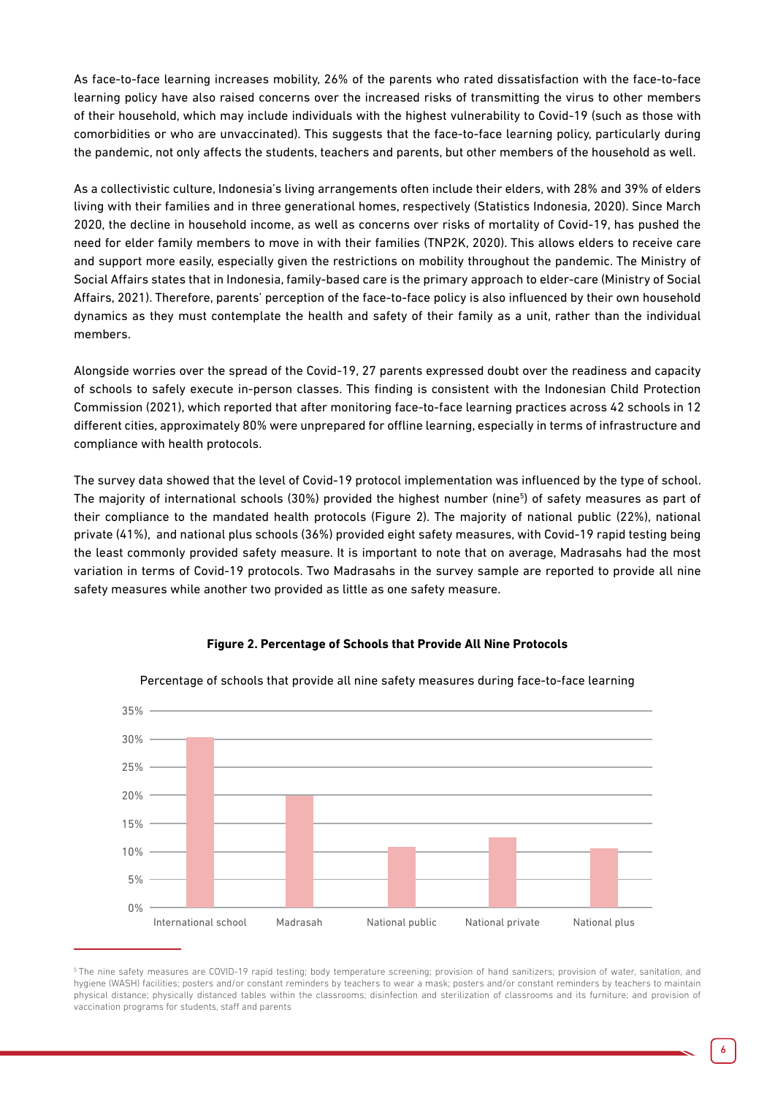As face-to-face learning increases mobility, 26% of the parents who rated dissatisfaction with the face-to-face learning policy have also raised concerns over the increased risks of transmitting the virus to other members of their household, which may include individuals with the highest vulnerability to Covid-19 (such as those with comorbidities or who are unvaccinated). This suggests that the face-to-face learning policy, particularly during the pandemic, not only affects the students, teachers and parents, but other members of the household as well.

As a collectivistic culture, Indonesia's living arrangements often include their elders, with 28% and 39% of elders living with their families and in three generational homes, respectively (Statistics Indonesia, 2020). Since March 2020, the decline in household income, as well as concerns over risks of mortality of Covid-19, has pushed the need for elder family members to move in with their families (TNP2K, 2020). This allows elders to receive care and support more easily, especially given the restrictions on mobility throughout the pandemic. The Ministry of Social Affairs states that in Indonesia, family-based care is the primary approach to elder-care (Ministry of Social Affairs, 2021). Therefore, parents' perception of the face-to-face policy is also influenced by their own household dynamics as they must contemplate the health and safety of their family as a unit, rather than the individual members.

Alongside worries over the spread of the Covid-19, 27 parents expressed doubt over the readiness and capacity of schools to safely execute in-person classes. This finding is consistent with the Indonesian Child Protection Commission (2021), which reported that after monitoring face-to-face learning practices across 42 schools in 12 different cities, approximately 80% were unprepared for offline learning, especially in terms of infrastructure and compliance with health protocols.

The survey data showed that the level of Covid-19 protocol implementation was influenced by the type of school. The majority of international schools (30%) provided the highest number (nine<sup>5</sup>) of safety measures as part of their compliance to the mandated health protocols (Figure 2). The majority of national public (22%), national private (41%), and national plus schools (36%) provided eight safety measures, with Covid-19 rapid testing being the least commonly provided safety measure. It is important to note that on average, Madrasahs had the most variation in terms of Covid-19 protocols. Two Madrasahs in the survey sample are reported to provide all nine safety measures while another two provided as little as one safety measure.



#### Percentage of schools that provide all nine safety measures during face-to-face learning

**Figure 2. Percentage of Schools that Provide All Nine Protocols**

<sup>&</sup>lt;sup>5</sup>The nine safety measures are COVID-19 rapid testing; body temperature screening; provision of hand sanitizers; provision of water, sanitation, and hygiene (WASH) facilities; posters and/or constant reminders by teachers to wear a mask; posters and/or constant reminders by teachers to maintain physical distance; physically distanced tables within the classrooms; disinfection and sterilization of classrooms and its furniture; and provision of vaccination programs for students, staff and parents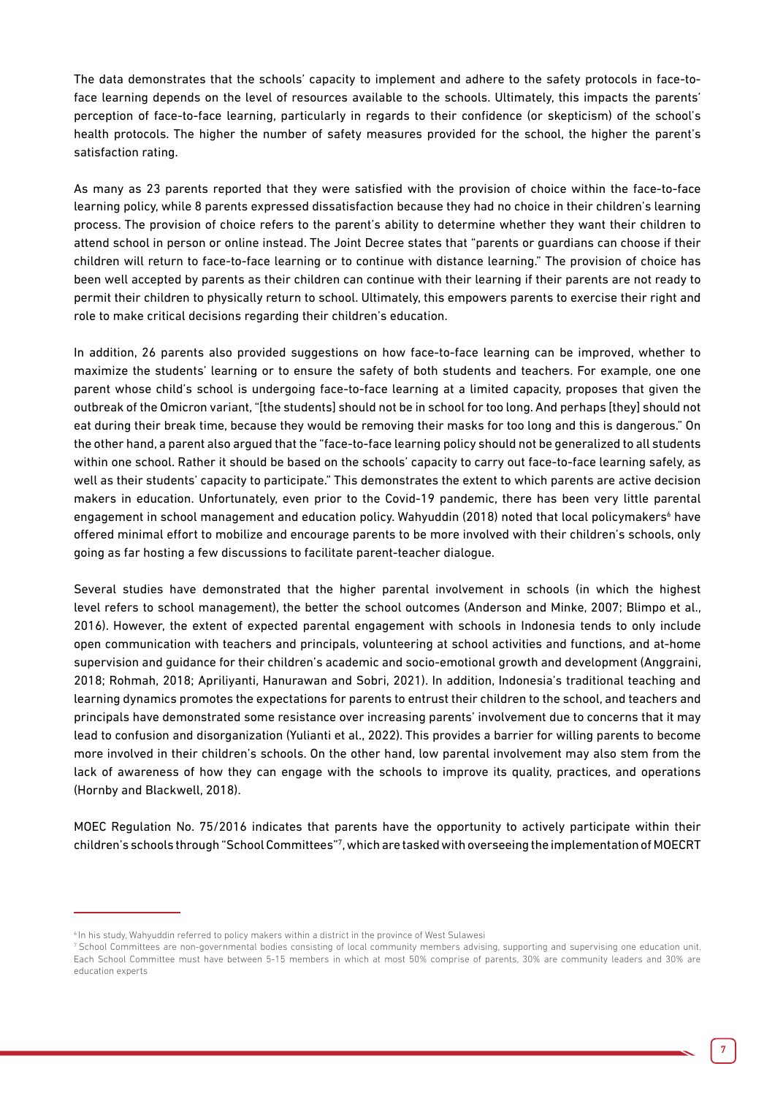The data demonstrates that the schools' capacity to implement and adhere to the safety protocols in face-toface learning depends on the level of resources available to the schools. Ultimately, this impacts the parents' perception of face-to-face learning, particularly in regards to their confidence (or skepticism) of the school's health protocols. The higher the number of safety measures provided for the school, the higher the parent's satisfaction rating.

As many as 23 parents reported that they were satisfied with the provision of choice within the face-to-face learning policy, while 8 parents expressed dissatisfaction because they had no choice in their children's learning process. The provision of choice refers to the parent's ability to determine whether they want their children to attend school in person or online instead. The Joint Decree states that "parents or guardians can choose if their children will return to face-to-face learning or to continue with distance learning." The provision of choice has been well accepted by parents as their children can continue with their learning if their parents are not ready to permit their children to physically return to school. Ultimately, this empowers parents to exercise their right and role to make critical decisions regarding their children's education.

In addition, 26 parents also provided suggestions on how face-to-face learning can be improved, whether to maximize the students' learning or to ensure the safety of both students and teachers. For example, one one parent whose child's school is undergoing face-to-face learning at a limited capacity, proposes that given the outbreak of the Omicron variant, "[the students] should not be in school for too long. And perhaps [they] should not eat during their break time, because they would be removing their masks for too long and this is dangerous." On the other hand, a parent also argued that the "face-to-face learning policy should not be generalized to all students within one school. Rather it should be based on the schools' capacity to carry out face-to-face learning safely, as well as their students' capacity to participate." This demonstrates the extent to which parents are active decision makers in education. Unfortunately, even prior to the Covid-19 pandemic, there has been very little parental engagement in school management and education policy. Wahyuddin (2018) noted that local policymakers<sup>6</sup> have offered minimal effort to mobilize and encourage parents to be more involved with their children's schools, only going as far hosting a few discussions to facilitate parent-teacher dialogue.

Several studies have demonstrated that the higher parental involvement in schools (in which the highest level refers to school management), the better the school outcomes (Anderson and Minke, 2007; Blimpo et al., 2016). However, the extent of expected parental engagement with schools in Indonesia tends to only include open communication with teachers and principals, volunteering at school activities and functions, and at-home supervision and guidance for their children's academic and socio-emotional growth and development (Anggraini, 2018; Rohmah, 2018; Apriliyanti, Hanurawan and Sobri, 2021). In addition, Indonesia's traditional teaching and learning dynamics promotes the expectations for parents to entrust their children to the school, and teachers and principals have demonstrated some resistance over increasing parents' involvement due to concerns that it may lead to confusion and disorganization (Yulianti et al., 2022). This provides a barrier for willing parents to become more involved in their children's schools. On the other hand, low parental involvement may also stem from the lack of awareness of how they can engage with the schools to improve its quality, practices, and operations (Hornby and Blackwell, 2018).

MOEC Regulation No. 75/2016 indicates that parents have the opportunity to actively participate within their children's schools through "School Committees"7 , which are tasked with overseeing the implementation of MOECRT

<sup>6</sup> In his study, Wahyuddin referred to policy makers within a district in the province of West Sulawesi

<sup>7</sup> School Committees are non-governmental bodies consisting of local community members advising, supporting and supervising one education unit. Each School Committee must have between 5-15 members in which at most 50% comprise of parents, 30% are community leaders and 30% are education experts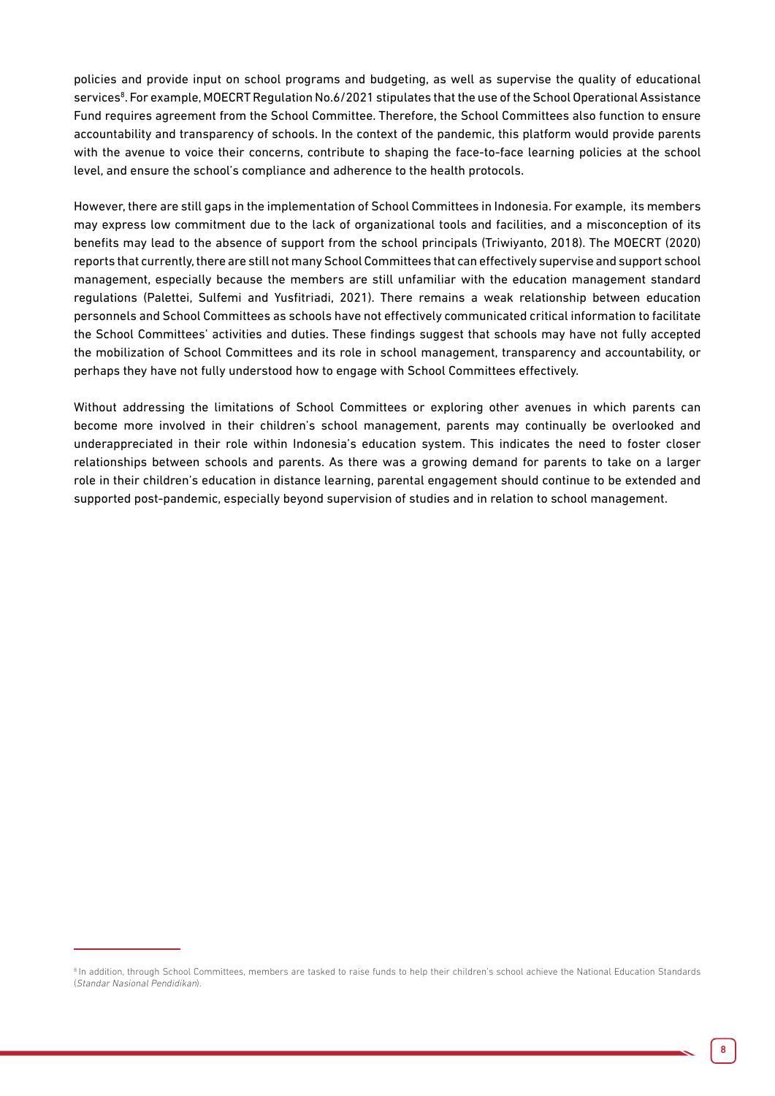policies and provide input on school programs and budgeting, as well as supervise the quality of educational services<sup>8</sup>. For example, MOECRT Regulation No.6/2021 stipulates that the use of the School Operational Assistance Fund requires agreement from the School Committee. Therefore, the School Committees also function to ensure accountability and transparency of schools. In the context of the pandemic, this platform would provide parents with the avenue to voice their concerns, contribute to shaping the face-to-face learning policies at the school level, and ensure the school's compliance and adherence to the health protocols.

However, there are still gaps in the implementation of School Committees in Indonesia. For example, its members may express low commitment due to the lack of organizational tools and facilities, and a misconception of its benefits may lead to the absence of support from the school principals (Triwiyanto, 2018). The MOECRT (2020) reports that currently, there are still not many School Committees that can effectively supervise and support school management, especially because the members are still unfamiliar with the education management standard regulations (Palettei, Sulfemi and Yusfitriadi, 2021). There remains a weak relationship between education personnels and School Committees as schools have not effectively communicated critical information to facilitate the School Committees' activities and duties. These findings suggest that schools may have not fully accepted the mobilization of School Committees and its role in school management, transparency and accountability, or perhaps they have not fully understood how to engage with School Committees effectively.

Without addressing the limitations of School Committees or exploring other avenues in which parents can become more involved in their children's school management, parents may continually be overlooked and underappreciated in their role within Indonesia's education system. This indicates the need to foster closer relationships between schools and parents. As there was a growing demand for parents to take on a larger role in their children's education in distance learning, parental engagement should continue to be extended and supported post-pandemic, especially beyond supervision of studies and in relation to school management.

<sup>&</sup>lt;sup>8</sup> In addition, through School Committees, members are tasked to raise funds to help their children's school achieve the National Education Standards (Standar Nasional Pendidikan).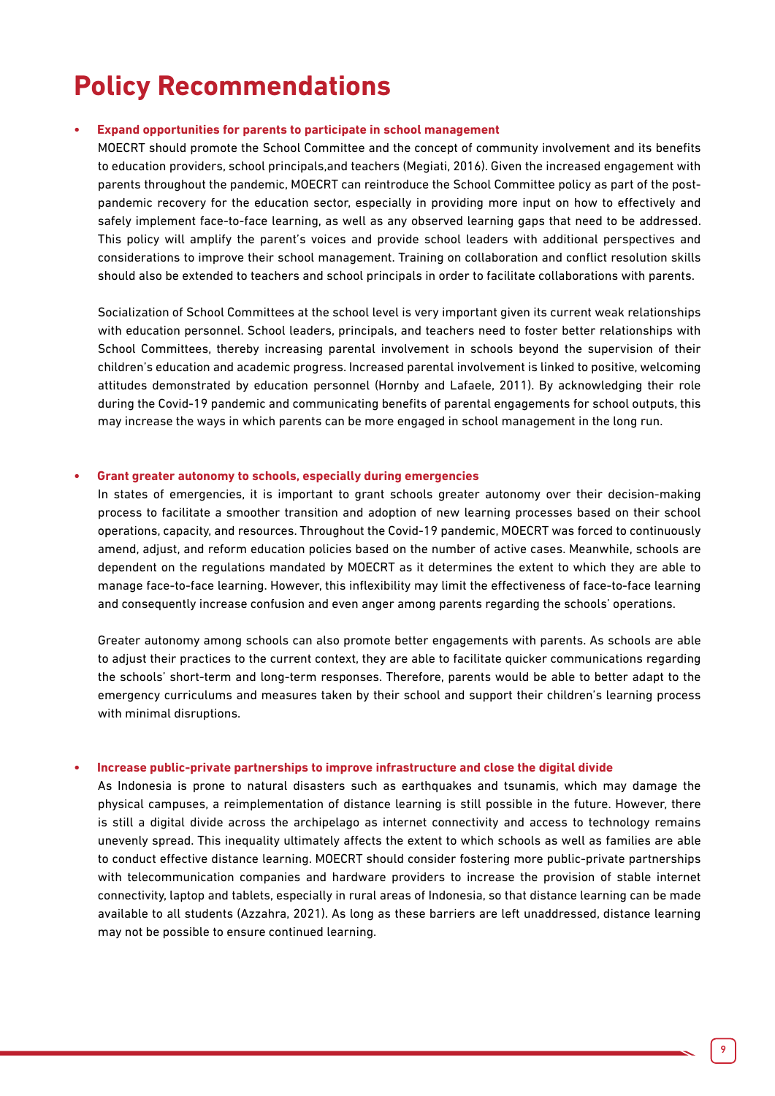# **Policy Recommendations**

#### **• Expand opportunities for parents to participate in school management**

MOECRT should promote the School Committee and the concept of community involvement and its benefits to education providers, school principals,and teachers (Megiati, 2016). Given the increased engagement with parents throughout the pandemic, MOECRT can reintroduce the School Committee policy as part of the postpandemic recovery for the education sector, especially in providing more input on how to effectively and safely implement face-to-face learning, as well as any observed learning gaps that need to be addressed. This policy will amplify the parent's voices and provide school leaders with additional perspectives and considerations to improve their school management. Training on collaboration and conflict resolution skills should also be extended to teachers and school principals in order to facilitate collaborations with parents.

Socialization of School Committees at the school level is very important given its current weak relationships with education personnel. School leaders, principals, and teachers need to foster better relationships with School Committees, thereby increasing parental involvement in schools beyond the supervision of their children's education and academic progress. Increased parental involvement is linked to positive, welcoming attitudes demonstrated by education personnel (Hornby and Lafaele, 2011). By acknowledging their role during the Covid-19 pandemic and communicating benefits of parental engagements for school outputs, this may increase the ways in which parents can be more engaged in school management in the long run.

#### **• Grant greater autonomy to schools, especially during emergencies**

In states of emergencies, it is important to grant schools greater autonomy over their decision-making process to facilitate a smoother transition and adoption of new learning processes based on their school operations, capacity, and resources. Throughout the Covid-19 pandemic, MOECRT was forced to continuously amend, adjust, and reform education policies based on the number of active cases. Meanwhile, schools are dependent on the regulations mandated by MOECRT as it determines the extent to which they are able to manage face-to-face learning. However, this inflexibility may limit the effectiveness of face-to-face learning and consequently increase confusion and even anger among parents regarding the schools' operations.

Greater autonomy among schools can also promote better engagements with parents. As schools are able to adjust their practices to the current context, they are able to facilitate quicker communications regarding the schools' short-term and long-term responses. Therefore, parents would be able to better adapt to the emergency curriculums and measures taken by their school and support their children's learning process with minimal disruptions.

#### **• Increase public-private partnerships to improve infrastructure and close the digital divide**

As Indonesia is prone to natural disasters such as earthquakes and tsunamis, which may damage the physical campuses, a reimplementation of distance learning is still possible in the future. However, there is still a digital divide across the archipelago as internet connectivity and access to technology remains unevenly spread. This inequality ultimately affects the extent to which schools as well as families are able to conduct effective distance learning. MOECRT should consider fostering more public-private partnerships with telecommunication companies and hardware providers to increase the provision of stable internet connectivity, laptop and tablets, especially in rural areas of Indonesia, so that distance learning can be made available to all students (Azzahra, 2021). As long as these barriers are left unaddressed, distance learning may not be possible to ensure continued learning.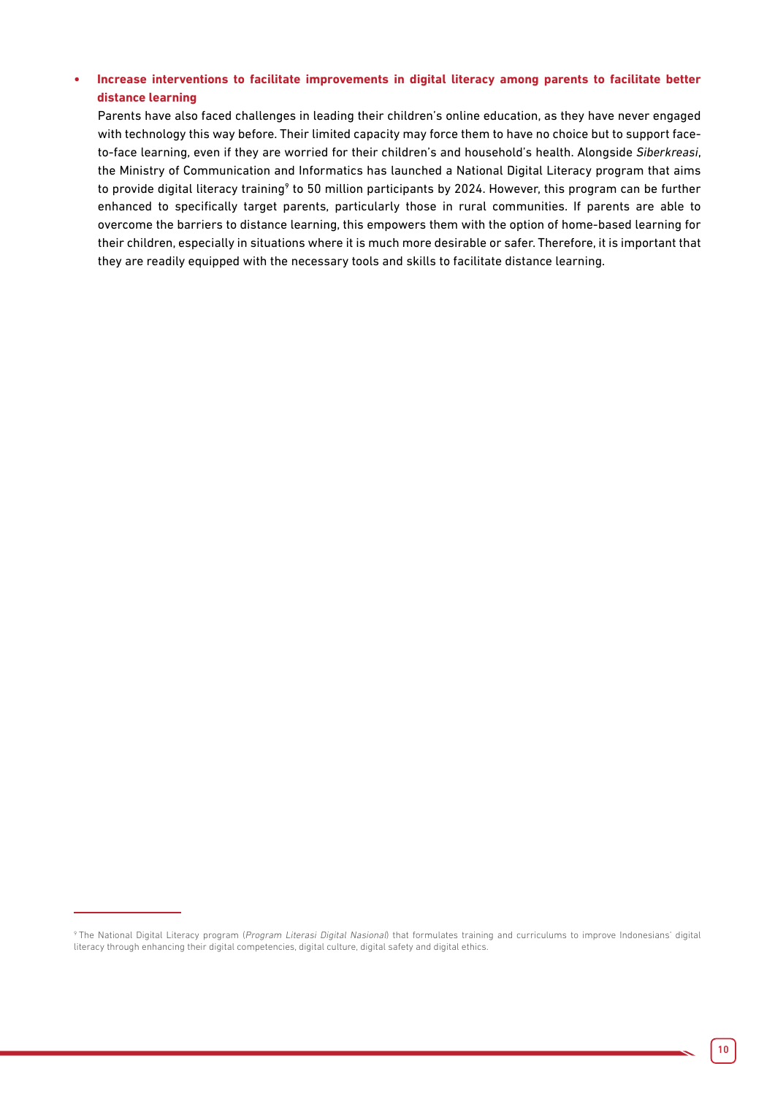#### **• Increase interventions to facilitate improvements in digital literacy among parents to facilitate better distance learning**

Parents have also faced challenges in leading their children's online education, as they have never engaged with technology this way before. Their limited capacity may force them to have no choice but to support faceto-face learning, even if they are worried for their children's and household's health. Alongside *Siberkreasi*, the Ministry of Communication and Informatics has launched a National Digital Literacy program that aims to provide digital literacy training<sup>9</sup> to 50 million participants by 2024. However, this program can be further enhanced to specifically target parents, particularly those in rural communities. If parents are able to overcome the barriers to distance learning, this empowers them with the option of home-based learning for their children, especially in situations where it is much more desirable or safer. Therefore, it is important that they are readily equipped with the necessary tools and skills to facilitate distance learning.

<sup>&</sup>lt;sup>9</sup> The National Digital Literacy program (Program Literasi Digital Nasional) that formulates training and curriculums to improve Indonesians' digital literacy through enhancing their digital competencies, digital culture, digital safety and digital ethics.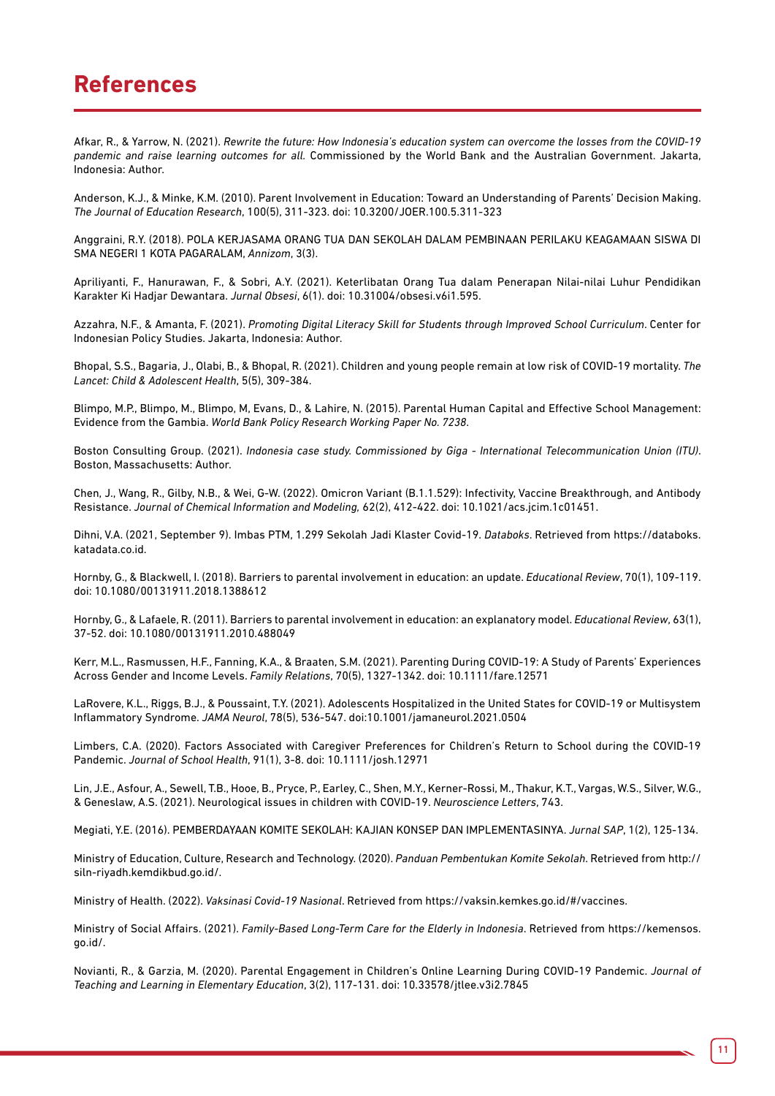### **References**

Afkar, R., & Yarrow, N. (2021). *Rewrite the future: How Indonesia's education system can overcome the losses from the COVID-19 pandemic and raise learning outcomes for all.* Commissioned by the World Bank and the Australian Government. Jakarta, Indonesia: Author.

Anderson, K.J., & Minke, K.M. (2010). Parent Involvement in Education: Toward an Understanding of Parents' Decision Making. *The Journal of Education Research*, 100(5), 311-323. doi: 10.3200/JOER.100.5.311-323

Anggraini, R.Y. (2018). POLA KERJASAMA ORANG TUA DAN SEKOLAH DALAM PEMBINAAN PERILAKU KEAGAMAAN SISWA DI SMA NEGERI 1 KOTA PAGARALAM, *Annizom*, 3(3).

Apriliyanti, F., Hanurawan, F., & Sobri, A.Y. (2021). Keterlibatan Orang Tua dalam Penerapan Nilai-nilai Luhur Pendidikan Karakter Ki Hadjar Dewantara. *Jurnal Obsesi*, 6(1). doi: 10.31004/obsesi.v6i1.595.

Azzahra, N.F., & Amanta, F. (2021). *Promoting Digital Literacy Skill for Students through Improved School Curriculum*. Center for Indonesian Policy Studies. Jakarta, Indonesia: Author.

Bhopal, S.S., Bagaria, J., Olabi, B., & Bhopal, R. (2021). Children and young people remain at low risk of COVID-19 mortality. *The Lancet: Child & Adolescent Health*, 5(5), 309-384.

Blimpo, M.P., Blimpo, M., Blimpo, M, Evans, D., & Lahire, N. (2015). Parental Human Capital and Effective School Management: Evidence from the Gambia. *World Bank Policy Research Working Paper No. 7238*.

Boston Consulting Group. (2021). *Indonesia case study. Commissioned by Giga - International Telecommunication Union (ITU)*. Boston, Massachusetts: Author.

Chen, J., Wang, R., Gilby, N.B., & Wei, G-W. (2022). Omicron Variant (B.1.1.529): Infectivity, Vaccine Breakthrough, and Antibody Resistance. *Journal of Chemical Information and Modeling,* 62(2), 412-422. doi: 10.1021/acs.jcim.1c01451.

Dihni, V.A. (2021, September 9). Imbas PTM, 1.299 Sekolah Jadi Klaster Covid-19. *Databoks*. Retrieved from https://databoks. katadata.co.id.

Hornby, G., & Blackwell, I. (2018). Barriers to parental involvement in education: an update. *Educational Review*, 70(1), 109-119. doi: 10.1080/00131911.2018.1388612

Hornby, G., & Lafaele, R. (2011). Barriers to parental involvement in education: an explanatory model. *Educational Review*, 63(1), 37-52. doi: 10.1080/00131911.2010.488049

Kerr, M.L., Rasmussen, H.F., Fanning, K.A., & Braaten, S.M. (2021). Parenting During COVID-19: A Study of Parents' Experiences Across Gender and Income Levels. *Family Relations*, 70(5), 1327-1342. doi: 10.1111/fare.12571

LaRovere, K.L., Riggs, B.J., & Poussaint, T.Y. (2021). Adolescents Hospitalized in the United States for COVID-19 or Multisystem Inflammatory Syndrome. *JAMA Neurol*, 78(5), 536-547. doi:10.1001/jamaneurol.2021.0504

Limbers, C.A. (2020). Factors Associated with Caregiver Preferences for Children's Return to School during the COVID-19 Pandemic. *Journal of School Health*, 91(1), 3-8. doi: 10.1111/josh.12971

Lin, J.E., Asfour, A., Sewell, T.B., Hooe, B., Pryce, P., Earley, C., Shen, M.Y., Kerner-Rossi, M., Thakur, K.T., Vargas, W.S., Silver, W.G., & Geneslaw, A.S. (2021). Neurological issues in children with COVID-19. *Neuroscience Letters*, 743.

Megiati, Y.E. (2016). PEMBERDAYAAN KOMITE SEKOLAH: KAJIAN KONSEP DAN IMPLEMENTASINYA. *Jurnal SAP*, 1(2), 125-134.

Ministry of Education, Culture, Research and Technology. (2020). *Panduan Pembentukan Komite Sekolah*. Retrieved from http:// siln-riyadh.kemdikbud.go.id/.

Ministry of Health. (2022). *Vaksinasi Covid-19 Nasional*. Retrieved from https://vaksin.kemkes.go.id/#/vaccines.

Ministry of Social Affairs. (2021). *Family-Based Long-Term Care for the Elderly in Indonesia*. Retrieved from https://kemensos. go.id/.

Novianti, R., & Garzia, M. (2020). Parental Engagement in Children's Online Learning During COVID-19 Pandemic. *Journal of Teaching and Learning in Elementary Education*, 3(2), 117-131. doi: 10.33578/jtlee.v3i2.7845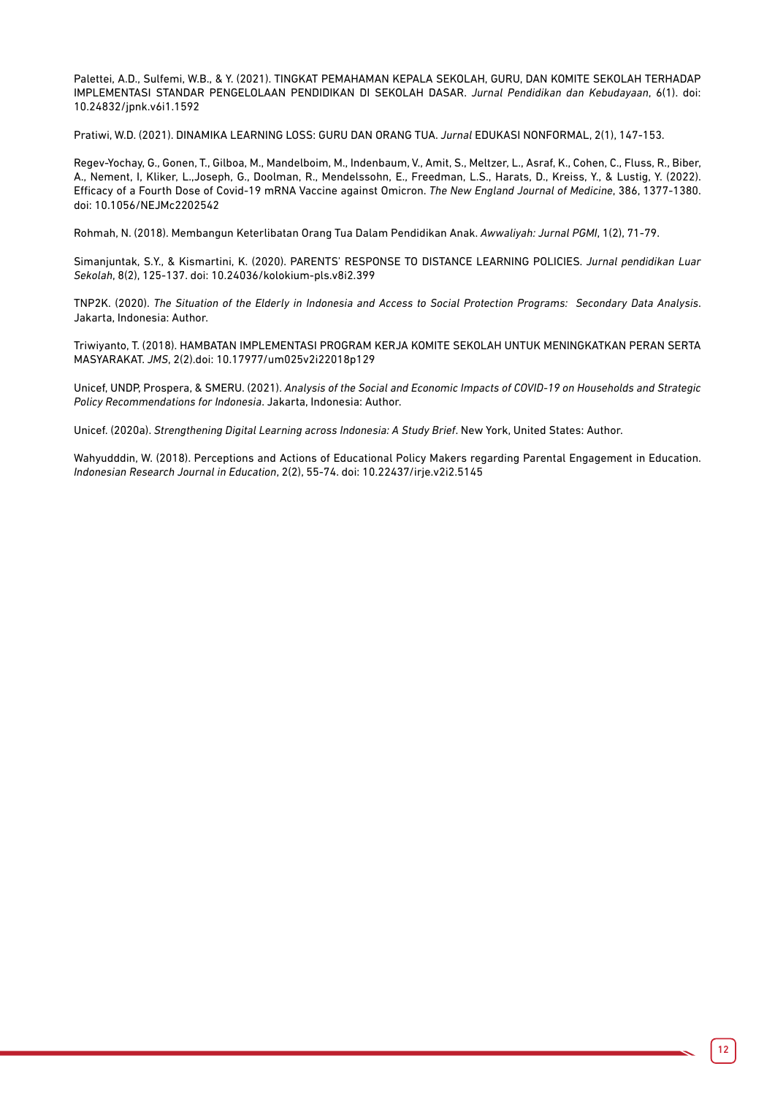Palettei, A.D., Sulfemi, W.B., & Y. (2021). TINGKAT PEMAHAMAN KEPALA SEKOLAH, GURU, DAN KOMITE SEKOLAH TERHADAP IMPLEMENTASI STANDAR PENGELOLAAN PENDIDIKAN DI SEKOLAH DASAR. *Jurnal Pendidikan dan Kebudayaan*, 6(1). doi: 10.24832/jpnk.v6i1.1592

Pratiwi, W.D. (2021). DINAMIKA LEARNING LOSS: GURU DAN ORANG TUA. *Jurnal* EDUKASI NONFORMAL, 2(1), 147-153.

Regev-Yochay, G., Gonen, T., Gilboa, M., Mandelboim, M., Indenbaum, V., Amit, S., Meltzer, L., Asraf, K., Cohen, C., Fluss, R., Biber, A., Nement, I, Kliker, L.,Joseph, G., Doolman, R., Mendelssohn, E., Freedman, L.S., Harats, D., Kreiss, Y., & Lustig, Y. (2022). Efficacy of a Fourth Dose of Covid-19 mRNA Vaccine against Omicron. *The New England Journal of Medicine*, 386, 1377-1380. doi: 10.1056/NEJMc2202542

Rohmah, N. (2018). Membangun Keterlibatan Orang Tua Dalam Pendidikan Anak. *Awwaliyah: Jurnal PGMI*, 1(2), 71-79.

Simanjuntak, S.Y., & Kismartini, K. (2020). PARENTS' RESPONSE TO DISTANCE LEARNING POLICIES. *Jurnal pendidikan Luar Sekolah*, 8(2), 125-137. doi: 10.24036/kolokium-pls.v8i2.399

TNP2K. (2020). *The Situation of the Elderly in Indonesia and Access to Social Protection Programs: Secondary Data Analysis*. Jakarta, Indonesia: Author.

Triwiyanto, T. (2018). HAMBATAN IMPLEMENTASI PROGRAM KERJA KOMITE SEKOLAH UNTUK MENINGKATKAN PERAN SERTA MASYARAKAT. *JMS*, 2(2).doi: 10.17977/um025v2i22018p129

Unicef, UNDP, Prospera, & SMERU. (2021). *Analysis of the Social and Economic Impacts of COVID-19 on Households and Strategic Policy Recommendations for Indonesia*. Jakarta, Indonesia: Author.

Unicef. (2020a). *Strengthening Digital Learning across Indonesia: A Study Brief*. New York, United States: Author.

Wahyudddin, W. (2018). Perceptions and Actions of Educational Policy Makers regarding Parental Engagement in Education. *Indonesian Research Journal in Education*, 2(2), 55-74. doi: 10.22437/irje.v2i2.5145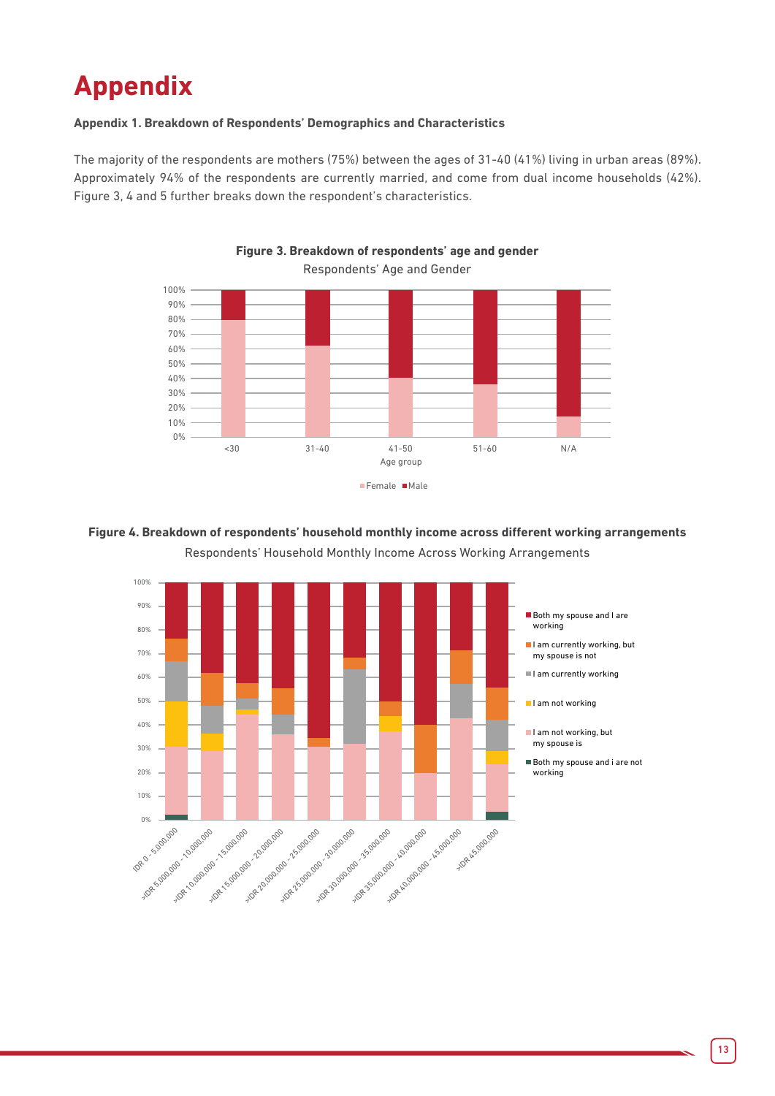# **Appendix**

#### **Appendix 1. Breakdown of Respondents' Demographics and Characteristics**

The majority of the respondents are mothers (75%) between the ages of 31-40 (41%) living in urban areas (89%). Approximately 94% of the respondents are currently married, and come from dual income households (42%). Figure 3, 4 and 5 further breaks down the respondent's characteristics.

**Figure 3. Breakdown of respondents' age and gender**



### **Figure 4. Breakdown of respondents' household monthly income across different working arrangements**

Respondents' Household Monthly Income Across Working Arrangements

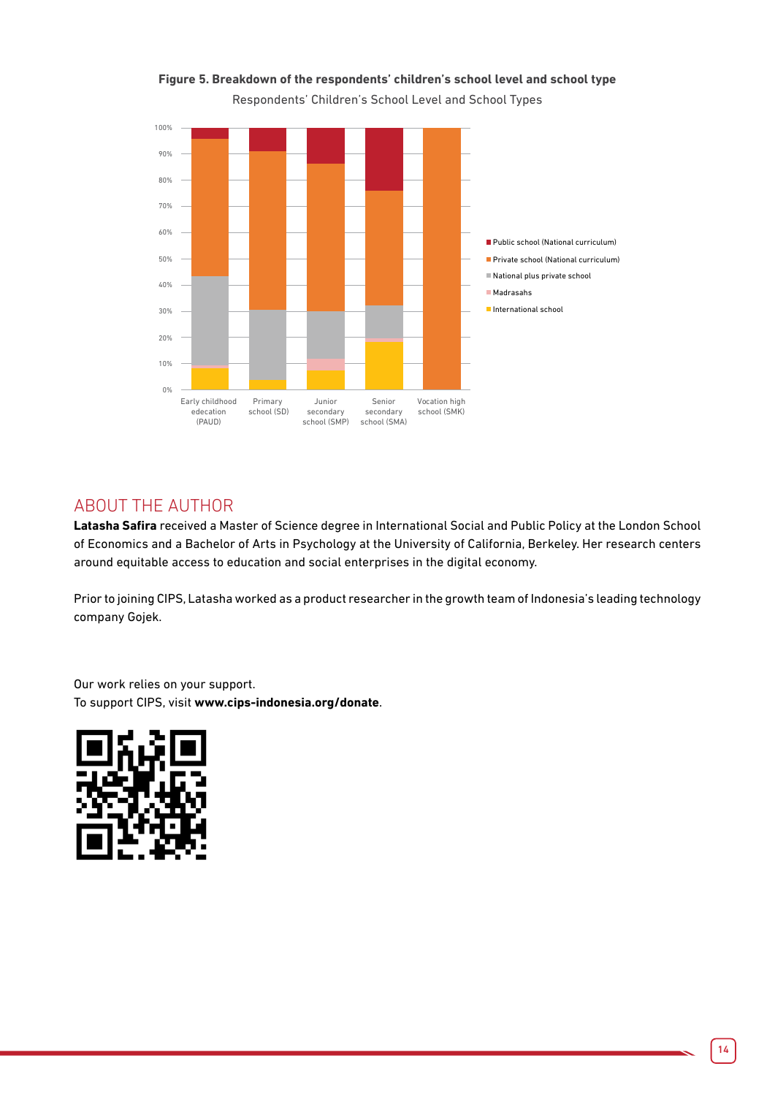![](_page_13_Figure_0.jpeg)

![](_page_13_Figure_1.jpeg)

Respondents' Children's School Level and School Types

#### ABOUT THE AUTHOR

**Latasha Safira** received a Master of Science degree in International Social and Public Policy at the London School of Economics and a Bachelor of Arts in Psychology at the University of California, Berkeley. Her research centers around equitable access to education and social enterprises in the digital economy.

Prior to joining CIPS, Latasha worked as a product researcher in the growth team of Indonesia's leading technology company Gojek.

Our work relies on your support. To support CIPS, visit **www.cips-indonesia.org/donate**.

![](_page_13_Picture_7.jpeg)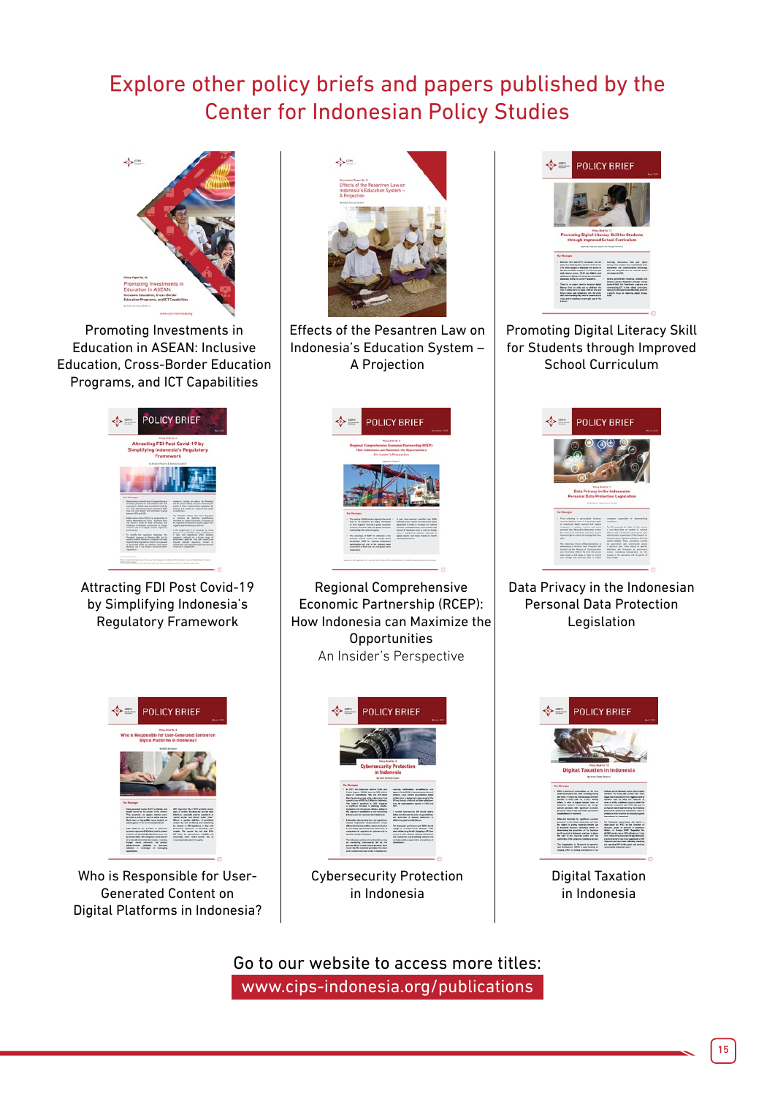## Explore other policy briefs and papers published by the Center for Indonesian Policy Studies

![](_page_14_Picture_1.jpeg)

Promoting Investments in Education in ASEAN: Inclusive Education, Cross-Border Education Programs, and ICT Capabilities

![](_page_14_Picture_3.jpeg)

Attracting FDI Post Covid-19 by Simplifying Indonesia's Regulatory Framework

![](_page_14_Picture_5.jpeg)

Who is Responsible for User-Generated Content on Digital Platforms in Indonesia?

![](_page_14_Picture_7.jpeg)

Effects of the Pesantren Law on Indonesia's Education System – A Projection

![](_page_14_Picture_9.jpeg)

Regional Comprehensive Economic Partnership (RCEP): How Indonesia can Maximize the **Opportunities** An Insider's Perspective

![](_page_14_Picture_11.jpeg)

Cybersecurity Protection in Indonesia

![](_page_14_Picture_13.jpeg)

Promoting Digital Literacy Skill for Students through Improved School Curriculum

![](_page_14_Picture_15.jpeg)

Data Privacy in the Indonesian Personal Data Protection **Legislation** 

![](_page_14_Picture_17.jpeg)

Digital Taxation in Indonesia

Go to our website to access more titles: [www.cips-indonesia.org/publications](http://www.cips-indonesia.org/publications)